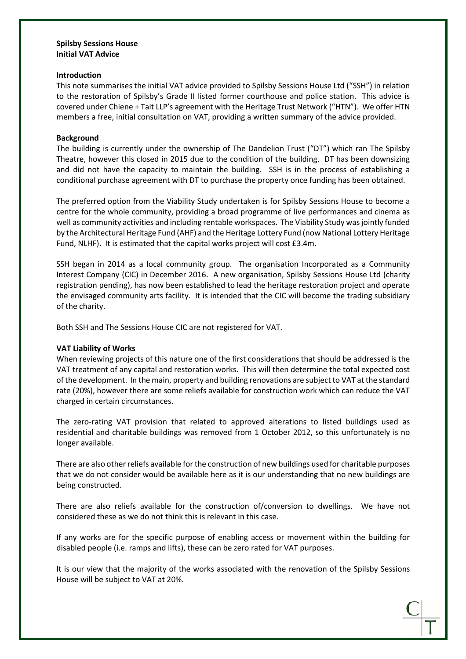#### **Introduction**

This note summarises the initial VAT advice provided to Spilsby Sessions House Ltd ("SSH") in relation to the restoration of Spilsby's Grade II listed former courthouse and police station. This advice is covered under Chiene + Tait LLP's agreement with the Heritage Trust Network ("HTN"). We offer HTN members a free, initial consultation on VAT, providing a written summary of the advice provided.

#### **Background**

The building is currently under the ownership of The Dandelion Trust ("DT") which ran The Spilsby Theatre, however this closed in 2015 due to the condition of the building. DT has been downsizing and did not have the capacity to maintain the building. SSH is in the process of establishing a conditional purchase agreement with DT to purchase the property once funding has been obtained.

The preferred option from the Viability Study undertaken is for Spilsby Sessions House to become a centre for the whole community, providing a broad programme of live performances and cinema as well as community activities and including rentable workspaces. The Viability Study wasjointly funded by the Architectural Heritage Fund (AHF) and the Heritage Lottery Fund (now National Lottery Heritage Fund, NLHF). It is estimated that the capital works project will cost £3.4m.

SSH began in 2014 as a local community group. The organisation Incorporated as a Community Interest Company (CIC) in December 2016. A new organisation, Spilsby Sessions House Ltd (charity registration pending), has now been established to lead the heritage restoration project and operate the envisaged community arts facility. It is intended that the CIC will become the trading subsidiary of the charity.

Both SSH and The Sessions House CIC are not registered for VAT.

# **VAT Liability of Works**

When reviewing projects of this nature one of the first considerations that should be addressed is the VAT treatment of any capital and restoration works. This will then determine the total expected cost of the development. In the main, property and building renovations are subject to VAT at the standard rate (20%), however there are some reliefs available for construction work which can reduce the VAT charged in certain circumstances.

The zero-rating VAT provision that related to approved alterations to listed buildings used as residential and charitable buildings was removed from 1 October 2012, so this unfortunately is no longer available.

There are also other reliefs available for the construction of new buildings used for charitable purposes that we do not consider would be available here as it is our understanding that no new buildings are being constructed.

There are also reliefs available for the construction of/conversion to dwellings. We have not considered these as we do not think this is relevant in this case.

If any works are for the specific purpose of enabling access or movement within the building for disabled people (i.e. ramps and lifts), these can be zero rated for VAT purposes.

It is our view that the majority of the works associated with the renovation of the Spilsby Sessions House will be subject to VAT at 20%.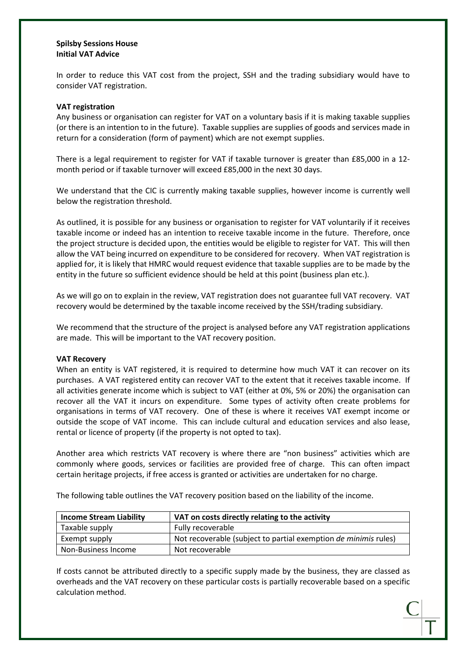In order to reduce this VAT cost from the project, SSH and the trading subsidiary would have to consider VAT registration.

#### **VAT registration**

Any business or organisation can register for VAT on a voluntary basis if it is making taxable supplies (or there is an intention to in the future). Taxable supplies are supplies of goods and services made in return for a consideration (form of payment) which are not exempt supplies.

There is a legal requirement to register for VAT if taxable turnover is greater than £85,000 in a 12 month period or if taxable turnover will exceed £85,000 in the next 30 days.

We understand that the CIC is currently making taxable supplies, however income is currently well below the registration threshold.

As outlined, it is possible for any business or organisation to register for VAT voluntarily if it receives taxable income or indeed has an intention to receive taxable income in the future. Therefore, once the project structure is decided upon, the entities would be eligible to register for VAT. This will then allow the VAT being incurred on expenditure to be considered for recovery. When VAT registration is applied for, it is likely that HMRC would request evidence that taxable supplies are to be made by the entity in the future so sufficient evidence should be held at this point (business plan etc.).

As we will go on to explain in the review, VAT registration does not guarantee full VAT recovery. VAT recovery would be determined by the taxable income received by the SSH/trading subsidiary.

We recommend that the structure of the project is analysed before any VAT registration applications are made. This will be important to the VAT recovery position.

#### **VAT Recovery**

When an entity is VAT registered, it is required to determine how much VAT it can recover on its purchases. A VAT registered entity can recover VAT to the extent that it receives taxable income. If all activities generate income which is subject to VAT (either at 0%, 5% or 20%) the organisation can recover all the VAT it incurs on expenditure. Some types of activity often create problems for organisations in terms of VAT recovery. One of these is where it receives VAT exempt income or outside the scope of VAT income. This can include cultural and education services and also lease, rental or licence of property (if the property is not opted to tax).

Another area which restricts VAT recovery is where there are "non business" activities which are commonly where goods, services or facilities are provided free of charge. This can often impact certain heritage projects, if free access is granted or activities are undertaken for no charge.

The following table outlines the VAT recovery position based on the liability of the income.

| <b>Income Stream Liability</b> | VAT on costs directly relating to the activity                  |  |
|--------------------------------|-----------------------------------------------------------------|--|
| Taxable supply                 | Fully recoverable                                               |  |
| Exempt supply                  | Not recoverable (subject to partial exemption de minimis rules) |  |
| Non-Business Income            | Not recoverable                                                 |  |

If costs cannot be attributed directly to a specific supply made by the business, they are classed as overheads and the VAT recovery on these particular costs is partially recoverable based on a specific calculation method.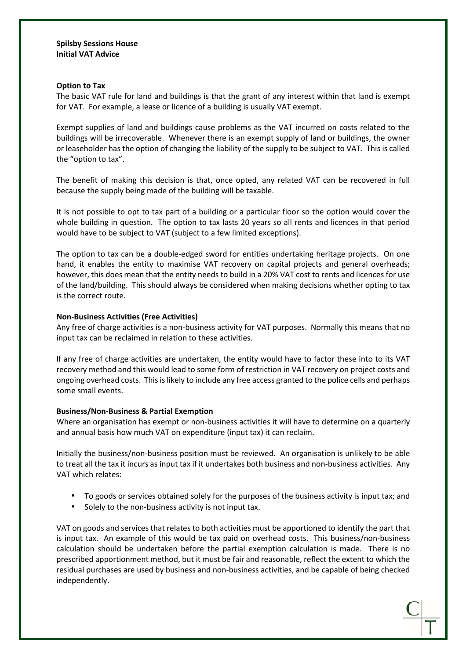#### **Option to Tax**

The basic VAT rule for land and buildings is that the grant of any interest within that land is exempt for VAT. For example, a lease or licence of a building is usually VAT exempt.

Exempt supplies of land and buildings cause problems as the VAT incurred on costs related to the buildings will be irrecoverable. Whenever there is an exempt supply of land or buildings, the owner or leaseholder has the option of changing the liability of the supply to be subject to VAT. This is called the "option to tax".

The benefit of making this decision is that, once opted, any related VAT can be recovered in full because the supply being made of the building will be taxable.

It is not possible to opt to tax part of a building or a particular floor so the option would cover the whole building in question. The option to tax lasts 20 years so all rents and licences in that period would have to be subject to VAT (subject to a few limited exceptions).

The option to tax can be a double-edged sword for entities undertaking heritage projects. On one hand, it enables the entity to maximise VAT recovery on capital projects and general overheads; however, this does mean that the entity needs to build in a 20% VAT cost to rents and licences for use of the land/building. This should always be considered when making decisions whether opting to tax is the correct route.

#### **Non-Business Activities (Free Activities)**

Any free of charge activities is a non-business activity for VAT purposes. Normally this means that no input tax can be reclaimed in relation to these activities.

If any free of charge activities are undertaken, the entity would have to factor these into to its VAT recovery method and this would lead to some form of restriction in VAT recovery on project costs and ongoing overhead costs. Thisislikely to include any free access granted to the police cells and perhaps some small events.

# **Business/Non-Business & Partial Exemption**

Where an organisation has exempt or non-business activities it will have to determine on a quarterly and annual basis how much VAT on expenditure (input tax) it can reclaim.

Initially the business/non-business position must be reviewed. An organisation is unlikely to be able to treat all the tax it incurs as input tax if it undertakes both business and non-business activities. Any VAT which relates:

- To goods or services obtained solely for the purposes of the business activity is input tax; and
- Solely to the non-business activity is not input tax.

VAT on goods and services that relates to both activities must be apportioned to identify the part that is input tax. An example of this would be tax paid on overhead costs. This business/non-business calculation should be undertaken before the partial exemption calculation is made. There is no prescribed apportionment method, but it must be fair and reasonable, reflect the extent to which the residual purchases are used by business and non-business activities, and be capable of being checked independently.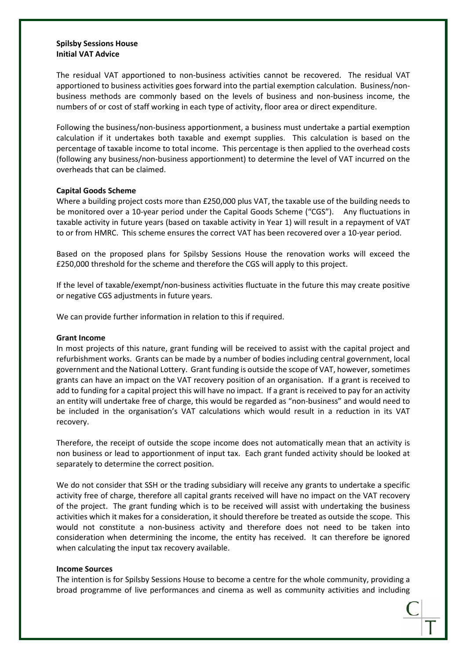The residual VAT apportioned to non-business activities cannot be recovered. The residual VAT apportioned to business activities goes forward into the partial exemption calculation. Business/nonbusiness methods are commonly based on the levels of business and non-business income, the numbers of or cost of staff working in each type of activity, floor area or direct expenditure.

Following the business/non-business apportionment, a business must undertake a partial exemption calculation if it undertakes both taxable and exempt supplies. This calculation is based on the percentage of taxable income to total income. This percentage is then applied to the overhead costs (following any business/non-business apportionment) to determine the level of VAT incurred on the overheads that can be claimed.

#### **Capital Goods Scheme**

Where a building project costs more than £250,000 plus VAT, the taxable use of the building needs to be monitored over a 10-year period under the Capital Goods Scheme ("CGS"). Any fluctuations in taxable activity in future years (based on taxable activity in Year 1) will result in a repayment of VAT to or from HMRC. This scheme ensures the correct VAT has been recovered over a 10-year period.

Based on the proposed plans for Spilsby Sessions House the renovation works will exceed the £250,000 threshold for the scheme and therefore the CGS will apply to this project.

If the level of taxable/exempt/non-business activities fluctuate in the future this may create positive or negative CGS adjustments in future years.

We can provide further information in relation to this if required.

#### **Grant Income**

In most projects of this nature, grant funding will be received to assist with the capital project and refurbishment works. Grants can be made by a number of bodies including central government, local government and the National Lottery. Grant funding is outside the scope of VAT, however,sometimes grants can have an impact on the VAT recovery position of an organisation. If a grant is received to add to funding for a capital project this will have no impact. If a grant is received to pay for an activity an entity will undertake free of charge, this would be regarded as "non-business" and would need to be included in the organisation's VAT calculations which would result in a reduction in its VAT recovery.

Therefore, the receipt of outside the scope income does not automatically mean that an activity is non business or lead to apportionment of input tax. Each grant funded activity should be looked at separately to determine the correct position.

We do not consider that SSH or the trading subsidiary will receive any grants to undertake a specific activity free of charge, therefore all capital grants received will have no impact on the VAT recovery of the project. The grant funding which is to be received will assist with undertaking the business activities which it makes for a consideration, it should therefore be treated as outside the scope. This would not constitute a non-business activity and therefore does not need to be taken into consideration when determining the income, the entity has received. It can therefore be ignored when calculating the input tax recovery available.

#### **Income Sources**

The intention is for Spilsby Sessions House to become a centre for the whole community, providing a broad programme of live performances and cinema as well as community activities and including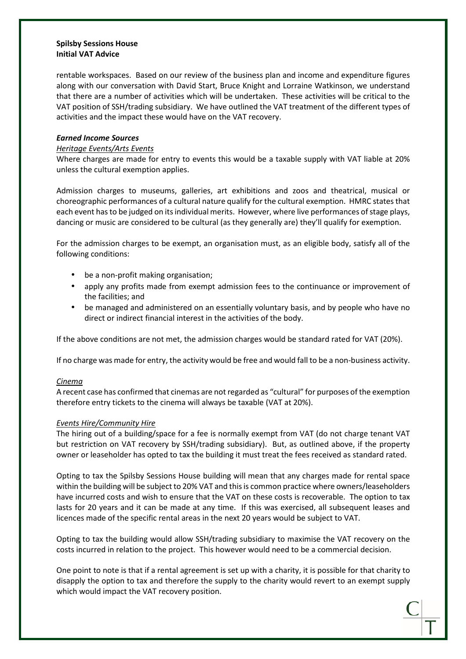rentable workspaces. Based on our review of the business plan and income and expenditure figures along with our conversation with David Start, Bruce Knight and Lorraine Watkinson, we understand that there are a number of activities which will be undertaken. These activities will be critical to the VAT position of SSH/trading subsidiary. We have outlined the VAT treatment of the different types of activities and the impact these would have on the VAT recovery.

#### **Earned Income Sources**

# Heritage Events/Arts Events

Where charges are made for entry to events this would be a taxable supply with VAT liable at 20% unless the cultural exemption applies.

Admission charges to museums, galleries, art exhibitions and zoos and theatrical, musical or choreographic performances of a cultural nature qualify for the cultural exemption. HMRC statesthat each event has to be judged on its individual merits. However, where live performances of stage plays, dancing or music are considered to be cultural (as they generally are) they'll qualify for exemption.

For the admission charges to be exempt, an organisation must, as an eligible body, satisfy all of the following conditions:

- be a non-profit making organisation;
- apply any profits made from exempt admission fees to the continuance or improvement of the facilities; and
- be managed and administered on an essentially voluntary basis, and by people who have no direct or indirect financial interest in the activities of the body.

If the above conditions are not met, the admission charges would be standard rated for VAT (20%).

If no charge was made for entry, the activity would be free and would fall to be a non-business activity.

# **Cinema**

A recent case has confirmed that cinemas are not regarded as "cultural" for purposes of the exemption therefore entry tickets to the cinema will always be taxable (VAT at 20%).

# Events Hire/Community Hire

The hiring out of a building/space for a fee is normally exempt from VAT (do not charge tenant VAT but restriction on VAT recovery by SSH/trading subsidiary). But, as outlined above, if the property owner or leaseholder has opted to tax the building it must treat the fees received as standard rated.

Opting to tax the Spilsby Sessions House building will mean that any charges made for rental space within the building will be subject to 20% VAT and this is common practice where owners/leaseholders have incurred costs and wish to ensure that the VAT on these costs is recoverable. The option to tax lasts for 20 years and it can be made at any time. If this was exercised, all subsequent leases and licences made of the specific rental areas in the next 20 years would be subject to VAT.

Opting to tax the building would allow SSH/trading subsidiary to maximise the VAT recovery on the costs incurred in relation to the project. This however would need to be a commercial decision.

One point to note is that if a rental agreement is set up with a charity, it is possible for that charity to disapply the option to tax and therefore the supply to the charity would revert to an exempt supply which would impact the VAT recovery position.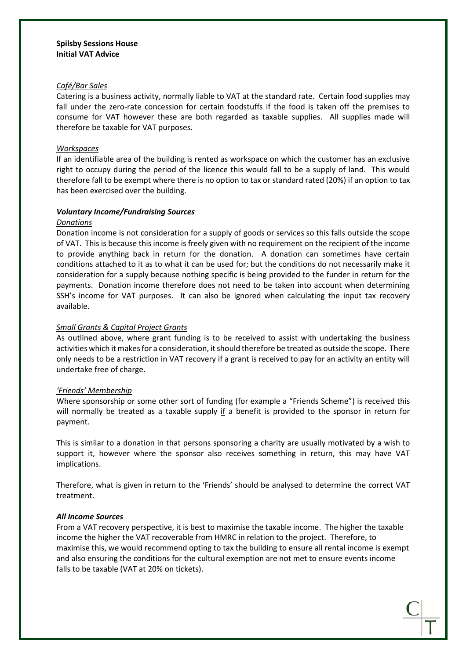### Café/Bar Sales

Catering is a business activity, normally liable to VAT at the standard rate. Certain food supplies may fall under the zero-rate concession for certain foodstuffs if the food is taken off the premises to consume for VAT however these are both regarded as taxable supplies. All supplies made will therefore be taxable for VAT purposes.

#### **Workspaces**

If an identifiable area of the building is rented as workspace on which the customer has an exclusive right to occupy during the period of the licence this would fall to be a supply of land. This would therefore fall to be exempt where there is no option to tax or standard rated (20%) if an option to tax has been exercised over the building.

#### **Voluntary Income/Fundraising Sources**

#### Donations

Donation income is not consideration for a supply of goods or services so this falls outside the scope of VAT. This is because this income is freely given with no requirement on the recipient of the income to provide anything back in return for the donation. A donation can sometimes have certain conditions attached to it as to what it can be used for; but the conditions do not necessarily make it consideration for a supply because nothing specific is being provided to the funder in return for the payments. Donation income therefore does not need to be taken into account when determining SSH's income for VAT purposes. It can also be ignored when calculating the input tax recovery available.

# Small Grants & Capital Project Grants

As outlined above, where grant funding is to be received to assist with undertaking the business activities which it makes for a consideration, it should therefore be treated as outside the scope. There only needs to be a restriction in VAT recovery if a grant is received to pay for an activity an entity will undertake free of charge.

#### 'Friends' Membership

Where sponsorship or some other sort of funding (for example a "Friends Scheme") is received this will normally be treated as a taxable supply if a benefit is provided to the sponsor in return for payment.

This is similar to a donation in that persons sponsoring a charity are usually motivated by a wish to support it, however where the sponsor also receives something in return, this may have VAT implications.

Therefore, what is given in return to the 'Friends' should be analysed to determine the correct VAT treatment.

#### **All Income Sources**

From a VAT recovery perspective, it is best to maximise the taxable income. The higher the taxable income the higher the VAT recoverable from HMRC in relation to the project. Therefore, to maximise this, we would recommend opting to tax the building to ensure all rental income is exempt and also ensuring the conditions for the cultural exemption are not met to ensure events income falls to be taxable (VAT at 20% on tickets).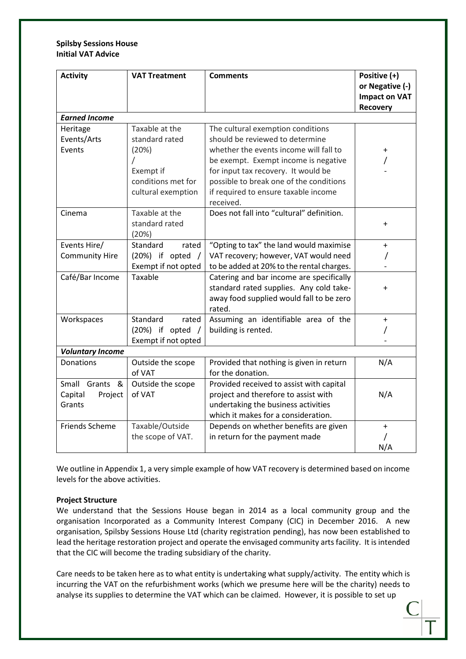| <b>Activity</b>         | <b>VAT Treatment</b>         | <b>Comments</b>                                   | Positive (+)         |  |  |
|-------------------------|------------------------------|---------------------------------------------------|----------------------|--|--|
|                         |                              |                                                   | or Negative (-)      |  |  |
|                         |                              |                                                   | <b>Impact on VAT</b> |  |  |
|                         |                              |                                                   | <b>Recovery</b>      |  |  |
| <b>Earned Income</b>    |                              |                                                   |                      |  |  |
| Heritage                | Taxable at the               | The cultural exemption conditions                 |                      |  |  |
| Events/Arts             | standard rated               | should be reviewed to determine                   |                      |  |  |
| Events                  | (20%)                        | whether the events income will fall to            |                      |  |  |
|                         |                              | be exempt. Exempt income is negative              |                      |  |  |
|                         | Exempt if                    | for input tax recovery. It would be               |                      |  |  |
|                         | conditions met for           | possible to break one of the conditions           |                      |  |  |
|                         | cultural exemption           | if required to ensure taxable income<br>received. |                      |  |  |
| Cinema                  | Taxable at the               | Does not fall into "cultural" definition.         |                      |  |  |
|                         | standard rated               |                                                   | +                    |  |  |
|                         | (20%)                        |                                                   |                      |  |  |
| Events Hire/            | Standard<br>rated            | "Opting to tax" the land would maximise           | $\ddot{}$            |  |  |
| <b>Community Hire</b>   | (20%) if opted               | VAT recovery; however, VAT would need             |                      |  |  |
|                         | Exempt if not opted          | to be added at 20% to the rental charges.         |                      |  |  |
| Café/Bar Income         | Taxable                      | Catering and bar income are specifically          |                      |  |  |
|                         |                              | standard rated supplies. Any cold take-           | +                    |  |  |
|                         |                              | away food supplied would fall to be zero          |                      |  |  |
|                         |                              | rated.                                            |                      |  |  |
| Workspaces              | Standard<br>rated            | Assuming an identifiable area of the              | $\ddot{}$            |  |  |
|                         | (20%) if opted<br>$\sqrt{ }$ | building is rented.                               |                      |  |  |
|                         | Exempt if not opted          |                                                   |                      |  |  |
| <b>Voluntary Income</b> |                              |                                                   |                      |  |  |
| Donations               | Outside the scope            | Provided that nothing is given in return          | N/A                  |  |  |
|                         | of VAT                       | for the donation.                                 |                      |  |  |
| Small Grants &          | Outside the scope            | Provided received to assist with capital          |                      |  |  |
| Capital<br>Project      | of VAT                       | project and therefore to assist with              | N/A                  |  |  |
| Grants                  |                              | undertaking the business activities               |                      |  |  |
|                         |                              | which it makes for a consideration.               |                      |  |  |
| Friends Scheme          | Taxable/Outside              | Depends on whether benefits are given             | $\ddot{}$            |  |  |
|                         | the scope of VAT.            | in return for the payment made                    |                      |  |  |
|                         |                              |                                                   | N/A                  |  |  |

We outline in Appendix 1, a very simple example of how VAT recovery is determined based on income levels for the above activities.

# **Project Structure**

We understand that the Sessions House began in 2014 as a local community group and the organisation Incorporated as a Community Interest Company (CIC) in December 2016. A new organisation, Spilsby Sessions House Ltd (charity registration pending), has now been established to lead the heritage restoration project and operate the envisaged community arts facility. It is intended that the CIC will become the trading subsidiary of the charity.

Care needs to be taken here as to what entity is undertaking what supply/activity. The entity which is incurring the VAT on the refurbishment works (which we presume here will be the charity) needs to analyse its supplies to determine the VAT which can be claimed. However, it is possible to set up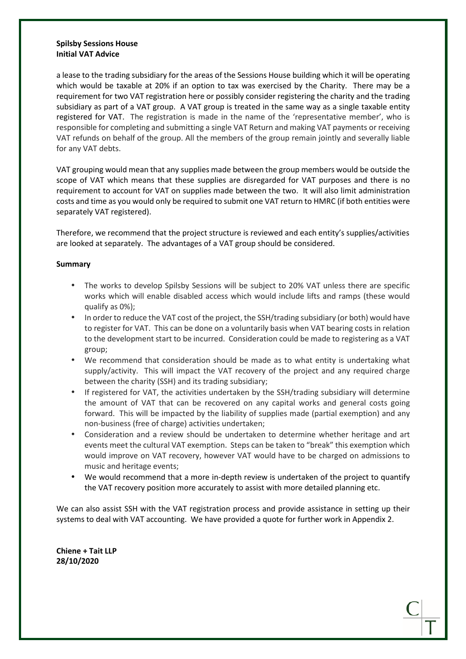a lease to the trading subsidiary for the areas of the Sessions House building which it will be operating which would be taxable at 20% if an option to tax was exercised by the Charity. There may be a requirement for two VAT registration here or possibly consider registering the charity and the trading subsidiary as part of a VAT group. A VAT group is treated in the same way as a single taxable entity registered for VAT. The registration is made in the name of the 'representative member', who is responsible for completing and submitting a single VAT Return and making VAT payments or receiving VAT refunds on behalf of the group. All the members of the group remain jointly and severally liable for any VAT debts.

VAT grouping would mean that any supplies made between the group members would be outside the scope of VAT which means that these supplies are disregarded for VAT purposes and there is no requirement to account for VAT on supplies made between the two. It will also limit administration costs and time as you would only be required to submit one VAT return to HMRC (if both entities were separately VAT registered).

Therefore, we recommend that the project structure is reviewed and each entity's supplies/activities are looked at separately. The advantages of a VAT group should be considered.

# **Summary**

- The works to develop Spilsby Sessions will be subject to 20% VAT unless there are specific works which will enable disabled access which would include lifts and ramps (these would qualify as 0%);
- In order to reduce the VAT cost of the project, the SSH/trading subsidiary (or both) would have to register for VAT. This can be done on a voluntarily basis when VAT bearing costs in relation to the development start to be incurred. Consideration could be made to registering as a VAT group;
- We recommend that consideration should be made as to what entity is undertaking what supply/activity. This will impact the VAT recovery of the project and any required charge between the charity (SSH) and its trading subsidiary;
- If registered for VAT, the activities undertaken by the SSH/trading subsidiary will determine the amount of VAT that can be recovered on any capital works and general costs going forward. This will be impacted by the liability of supplies made (partial exemption) and any non-business (free of charge) activities undertaken;
- Consideration and a review should be undertaken to determine whether heritage and art events meet the cultural VAT exemption. Steps can be taken to "break" this exemption which would improve on VAT recovery, however VAT would have to be charged on admissions to music and heritage events;
- We would recommend that a more in-depth review is undertaken of the project to quantify the VAT recovery position more accurately to assist with more detailed planning etc.

We can also assist SSH with the VAT registration process and provide assistance in setting up their systems to deal with VAT accounting. We have provided a quote for further work in Appendix 2.

**Chiene + Tait LLP 28/10/2020**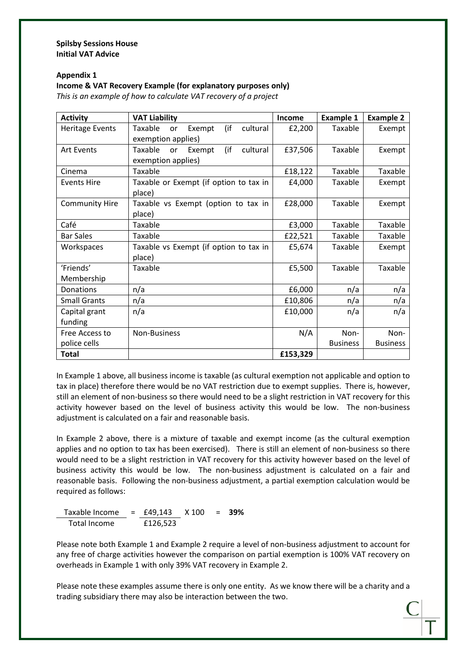# **Appendix 1**

# **Income & VAT Recovery Example (for explanatory purposes only)**

This is an example of how to calculate VAT recovery of a project

| <b>Activity</b>        | <b>VAT Liability</b>                       | Income   | <b>Example 1</b> | <b>Example 2</b> |
|------------------------|--------------------------------------------|----------|------------------|------------------|
| <b>Heritage Events</b> | (if<br>cultural<br>Taxable<br>Exempt<br>or | £2,200   | Taxable          | Exempt           |
|                        | exemption applies)                         |          |                  |                  |
| <b>Art Events</b>      | (if<br>Taxable<br>cultural<br>Exempt<br>or | £37,506  | Taxable          | Exempt           |
|                        | exemption applies)                         |          |                  |                  |
| Cinema                 | Taxable                                    | £18,122  | Taxable          | Taxable          |
| <b>Events Hire</b>     | Taxable or Exempt (if option to tax in     | £4,000   | Taxable          | Exempt           |
|                        | place)                                     |          |                  |                  |
| <b>Community Hire</b>  | Taxable vs Exempt (option to tax in        | £28,000  | Taxable          | Exempt           |
|                        | place)                                     |          |                  |                  |
| Café                   | Taxable                                    | £3,000   | Taxable          | Taxable          |
| <b>Bar Sales</b>       | Taxable                                    | £22,521  | Taxable          | Taxable          |
| Workspaces             | Taxable vs Exempt (if option to tax in     | £5,674   | Taxable          | Exempt           |
|                        | place)                                     |          |                  |                  |
| 'Friends'              | Taxable                                    | £5,500   | Taxable          | Taxable          |
| Membership             |                                            |          |                  |                  |
| Donations              | n/a                                        | £6,000   | n/a              | n/a              |
| <b>Small Grants</b>    | n/a                                        | £10,806  | n/a              | n/a              |
| Capital grant          | n/a                                        | £10,000  | n/a              | n/a              |
| funding                |                                            |          |                  |                  |
| Free Access to         | Non-Business                               | N/A      | Non-             | Non-             |
| police cells           |                                            |          | <b>Business</b>  | <b>Business</b>  |
| <b>Total</b>           |                                            | £153,329 |                  |                  |

In Example 1 above, all business income is taxable (as cultural exemption not applicable and option to tax in place) therefore there would be no VAT restriction due to exempt supplies. There is, however, still an element of non-business so there would need to be a slight restriction in VAT recovery for this activity however based on the level of business activity this would be low. The non-business adjustment is calculated on a fair and reasonable basis.

In Example 2 above, there is a mixture of taxable and exempt income (as the cultural exemption applies and no option to tax has been exercised). There is still an element of non-business so there would need to be a slight restriction in VAT recovery for this activity however based on the level of business activity this would be low. The non-business adjustment is calculated on a fair and reasonable basis. Following the non-business adjustment, a partial exemption calculation would be required as follows:

Taxable Income = £49,143 X 100 = **39%** Total Income £126,523

Please note both Example 1 and Example 2 require a level of non-business adjustment to account for any free of charge activities however the comparison on partial exemption is 100% VAT recovery on overheads in Example 1 with only 39% VAT recovery in Example 2.

Please note these examples assume there is only one entity. As we know there will be a charity and a trading subsidiary there may also be interaction between the two.